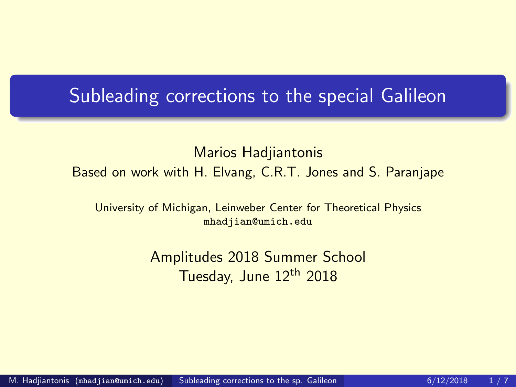## <span id="page-0-0"></span>**Subleading corrections to the special Galileon**

#### Marios Hadjiantonis Based on work with H. Elvang, C.R.T. Jones and S. Paranjape

University of Michigan, Leinweber Center for Theoretical Physics mhadjian@umich.edu

> Amplitudes 2018 Summer School Tuesday, June 12<sup>th</sup> 2018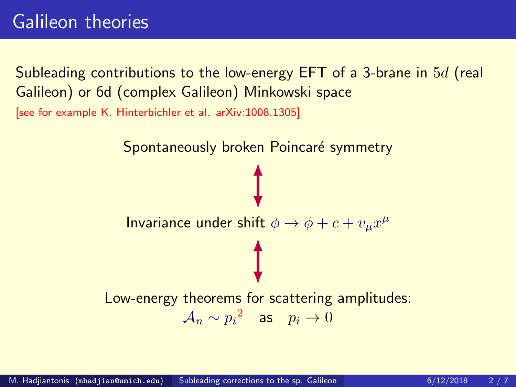# Galileon theories

Subleading contributions to the low-energy EFT of a 3-brane in 5d (real Galileon) or 6d (complex Galileon) Minkowski space [see for example K. Hinterbichler et al. arXiv:1008.1305]

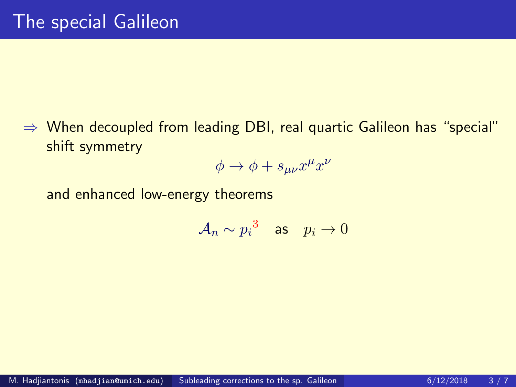⇒ When decoupled from leading DBI, real quartic Galileon has "special" shift symmetry

$$
\phi \to \phi + s_{\mu\nu} x^{\mu} x^{\nu}
$$

and enhanced low-energy theorems

$$
\mathcal{A}_n \sim {p_i}^3 \quad \text{as} \quad p_i \to 0
$$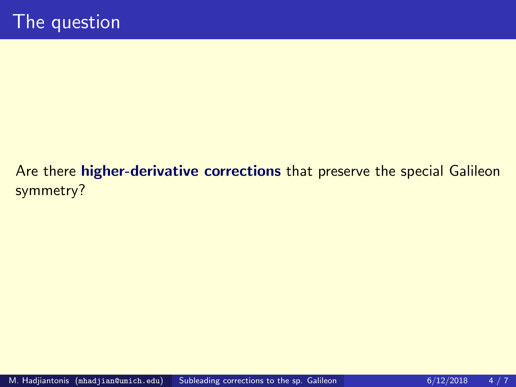## Are there higher-derivative corrections that preserve the special Galileon symmetry?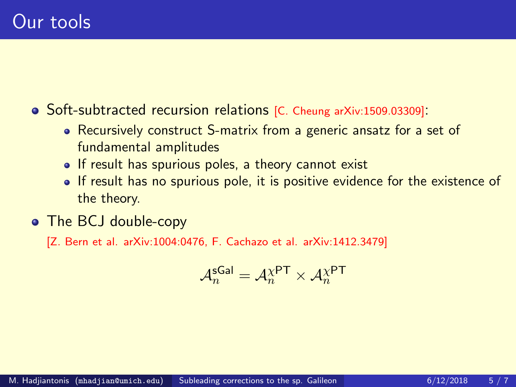Soft-subtracted recursion relations [C. Cheung arXiv:1509.03309]:

- Recursively construct S-matrix from a generic ansatz for a set of fundamental amplitudes
- If result has spurious poles, a theory cannot exist
- . If result has no spurious pole, it is positive evidence for the existence of the theory.
- The BCJ double-copy

[Z. Bern et al. arXiv:1004:0476, F. Cachazo et al. arXiv:1412.3479]

$$
\mathcal{A}_n^{\mathsf{sGal}} = \mathcal{A}_n^{\chi \mathsf{PT}} \times \mathcal{A}_n^{\chi \mathsf{PT}}
$$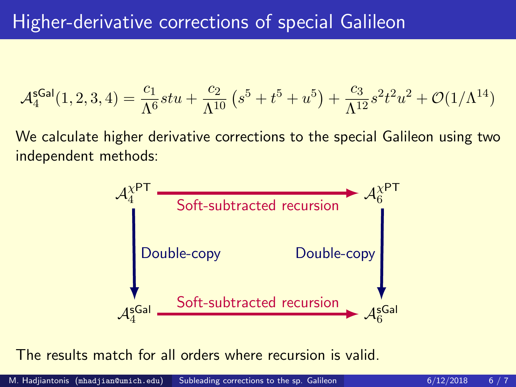$$
\mathcal{A}_4^{\text{sgal}}(1,2,3,4) = \frac{c_1}{\Lambda^6}stu + \frac{c_2}{\Lambda^{10}} \left(s^5 + t^5 + u^5\right) + \frac{c_3}{\Lambda^{12}} s^2 t^2 u^2 + \mathcal{O}(1/\Lambda^{14})
$$

We calculate higher derivative corrections to the special Galileon using two independent methods:



The results match for all orders where recursion is valid.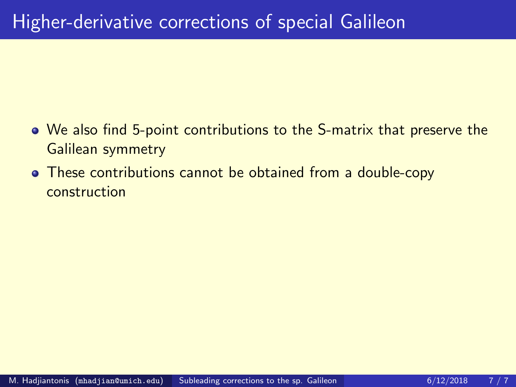- We also find 5-point contributions to the S-matrix that preserve the Galilean symmetry
- These contributions cannot be obtained from a double-copy construction